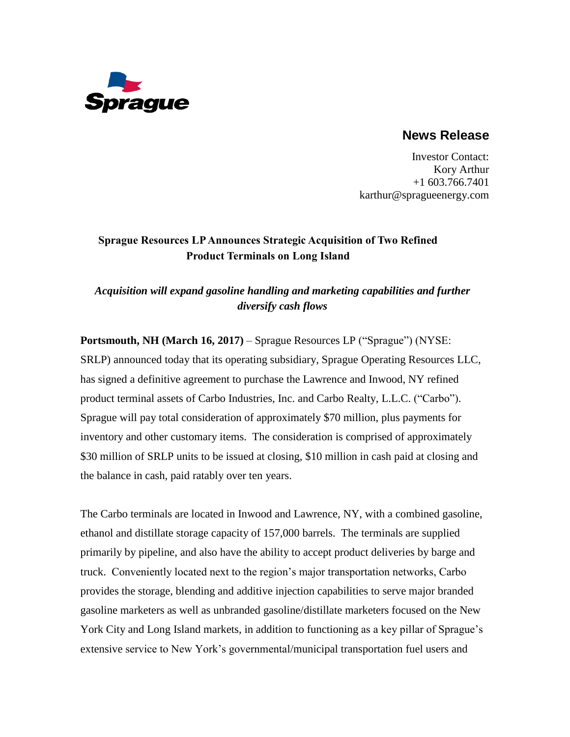

### **News Release**

Investor Contact: Kory Arthur +1 603.766.7401 karthur@spragueenergy.com

# **Sprague Resources LP Announces Strategic Acquisition of Two Refined Product Terminals on Long Island**

## *Acquisition will expand gasoline handling and marketing capabilities and further diversify cash flows*

**Portsmouth, NH (March 16, 2017)** – Sprague Resources LP ("Sprague") (NYSE: SRLP) announced today that its operating subsidiary, Sprague Operating Resources LLC, has signed a definitive agreement to purchase the Lawrence and Inwood, NY refined product terminal assets of Carbo Industries, Inc. and Carbo Realty, L.L.C. ("Carbo"). Sprague will pay total consideration of approximately \$70 million, plus payments for inventory and other customary items. The consideration is comprised of approximately \$30 million of SRLP units to be issued at closing, \$10 million in cash paid at closing and the balance in cash, paid ratably over ten years.

The Carbo terminals are located in Inwood and Lawrence, NY, with a combined gasoline, ethanol and distillate storage capacity of 157,000 barrels. The terminals are supplied primarily by pipeline, and also have the ability to accept product deliveries by barge and truck. Conveniently located next to the region's major transportation networks, Carbo provides the storage, blending and additive injection capabilities to serve major branded gasoline marketers as well as unbranded gasoline/distillate marketers focused on the New York City and Long Island markets, in addition to functioning as a key pillar of Sprague's extensive service to New York's governmental/municipal transportation fuel users and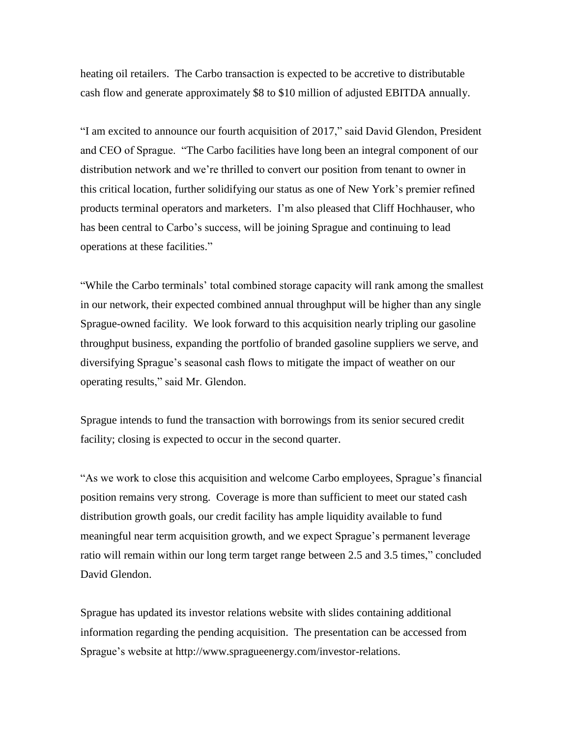heating oil retailers. The Carbo transaction is expected to be accretive to distributable cash flow and generate approximately \$8 to \$10 million of adjusted EBITDA annually.

"I am excited to announce our fourth acquisition of 2017," said David Glendon, President and CEO of Sprague. "The Carbo facilities have long been an integral component of our distribution network and we're thrilled to convert our position from tenant to owner in this critical location, further solidifying our status as one of New York's premier refined products terminal operators and marketers. I'm also pleased that Cliff Hochhauser, who has been central to Carbo's success, will be joining Sprague and continuing to lead operations at these facilities."

"While the Carbo terminals' total combined storage capacity will rank among the smallest in our network, their expected combined annual throughput will be higher than any single Sprague-owned facility. We look forward to this acquisition nearly tripling our gasoline throughput business, expanding the portfolio of branded gasoline suppliers we serve, and diversifying Sprague's seasonal cash flows to mitigate the impact of weather on our operating results," said Mr. Glendon.

Sprague intends to fund the transaction with borrowings from its senior secured credit facility; closing is expected to occur in the second quarter.

"As we work to close this acquisition and welcome Carbo employees, Sprague's financial position remains very strong. Coverage is more than sufficient to meet our stated cash distribution growth goals, our credit facility has ample liquidity available to fund meaningful near term acquisition growth, and we expect Sprague's permanent leverage ratio will remain within our long term target range between 2.5 and 3.5 times," concluded David Glendon.

Sprague has updated its investor relations website with slides containing additional information regarding the pending acquisition. The presentation can be accessed from Sprague's website at [http://www.spragueenergy.com/investor-relations.](http://www.spragueenergy.com/investor-relations)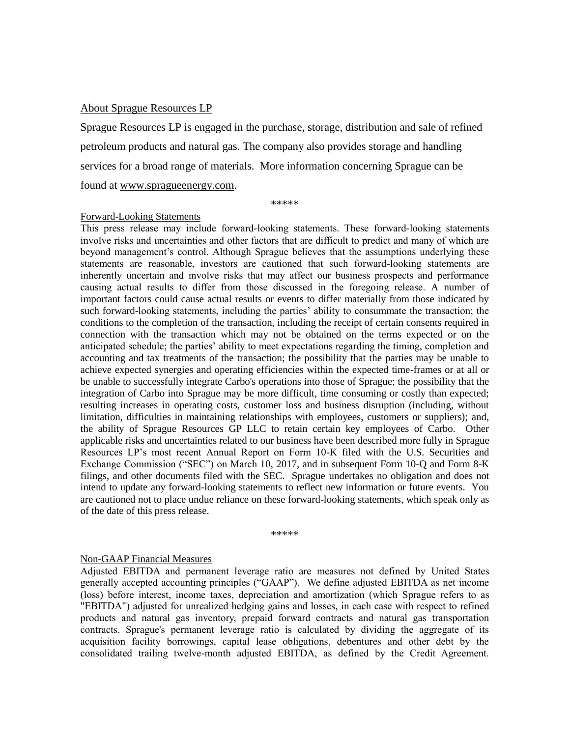### About Sprague Resources LP

Sprague Resources LP is engaged in the purchase, storage, distribution and sale of refined petroleum products and natural gas. The company also provides storage and handling services for a broad range of materials. More information concerning Sprague can be found at www.spragueenergy.com.

\*\*\*\*\*

#### Forward-Looking Statements

This press release may include forward-looking statements. These forward-looking statements involve risks and uncertainties and other factors that are difficult to predict and many of which are beyond management's control. Although Sprague believes that the assumptions underlying these statements are reasonable, investors are cautioned that such forward-looking statements are inherently uncertain and involve risks that may affect our business prospects and performance causing actual results to differ from those discussed in the foregoing release. A number of important factors could cause actual results or events to differ materially from those indicated by such forward-looking statements, including the parties' ability to consummate the transaction; the conditions to the completion of the transaction, including the receipt of certain consents required in connection with the transaction which may not be obtained on the terms expected or on the anticipated schedule; the parties' ability to meet expectations regarding the timing, completion and accounting and tax treatments of the transaction; the possibility that the parties may be unable to achieve expected synergies and operating efficiencies within the expected time-frames or at all or be unable to successfully integrate Carbo's operations into those of Sprague; the possibility that the integration of Carbo into Sprague may be more difficult, time consuming or costly than expected; resulting increases in operating costs, customer loss and business disruption (including, without limitation, difficulties in maintaining relationships with employees, customers or suppliers); and, the ability of Sprague Resources GP LLC to retain certain key employees of Carbo. Other applicable risks and uncertainties related to our business have been described more fully in Sprague Resources LP's most recent Annual Report on Form 10-K filed with the U.S. Securities and Exchange Commission ("SEC") on March 10, 2017, and in subsequent Form 10-Q and Form 8-K filings, and other documents filed with the SEC. Sprague undertakes no obligation and does not intend to update any forward-looking statements to reflect new information or future events. You are cautioned not to place undue reliance on these forward-looking statements, which speak only as of the date of this press release.

\*\*\*\*\*

#### Non-GAAP Financial Measures

Adjusted EBITDA and permanent leverage ratio are measures not defined by United States generally accepted accounting principles ("GAAP"). We define adjusted EBITDA as net income (loss) before interest, income taxes, depreciation and amortization (which Sprague refers to as "EBITDA") adjusted for unrealized hedging gains and losses, in each case with respect to refined products and natural gas inventory, prepaid forward contracts and natural gas transportation contracts. Sprague's permanent leverage ratio is calculated by dividing the aggregate of its acquisition facility borrowings, capital lease obligations, debentures and other debt by the consolidated trailing twelve-month adjusted EBITDA, as defined by the Credit Agreement.